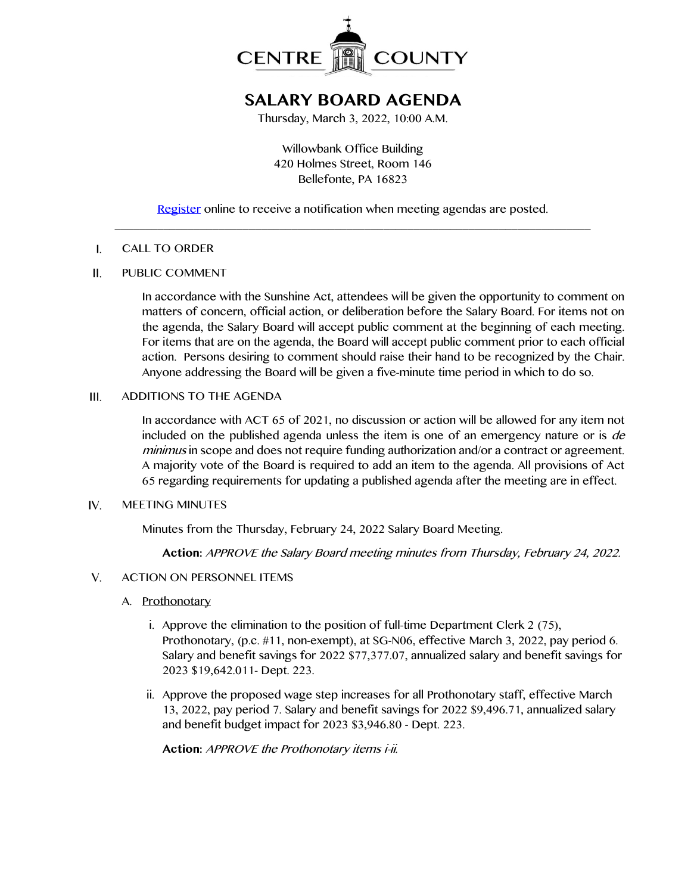

# **SALARY BOARD AGENDA**

Thursday, March 3, 2022, 10:00 A.M.

Willowbank Office Building 420 Holmes Street, Room 146 Bellefonte, PA 16823

## [Register](http://www.centrecountypa.gov/AgendaCenter) online to receive a notification when meeting agendas are posted. \_\_\_\_\_\_\_\_\_\_\_\_\_\_\_\_\_\_\_\_\_\_\_\_\_\_\_\_\_\_\_\_\_\_\_\_\_\_\_\_\_\_\_\_\_\_\_\_\_\_\_\_\_\_\_\_\_\_\_\_\_\_\_\_\_\_\_\_\_\_\_\_\_\_\_\_\_\_

#### $\mathbf{I}$ . CALL TO ORDER

#### $II.$ PUBLIC COMMENT

In accordance with the Sunshine Act, attendees will be given the opportunity to comment on matters of concern, official action, or deliberation before the Salary Board. For items not on the agenda, the Salary Board will accept public comment at the beginning of each meeting. For items that are on the agenda, the Board will accept public comment prior to each official action. Persons desiring to comment should raise their hand to be recognized by the Chair. Anyone addressing the Board will be given a five-minute time period in which to do so.

#### $III.$ ADDITIONS TO THE AGENDA

In accordance with ACT 65 of 2021, no discussion or action will be allowed for any item not included on the published agenda unless the item is one of an emergency nature or is de minimus in scope and does not require funding authorization and/or a contract or agreement. A majority vote of the Board is required to add an item to the agenda. All provisions of Act 65 regarding requirements for updating a published agenda after the meeting are in effect.

#### $IV.$ MEETING MINUTES

Minutes from the Thursday, February 24, 2022 Salary Board Meeting.

**Action:** APPROVE the Salary Board meeting minutes from Thursday, February 24, 2022.

#### $V_{1}$ ACTION ON PERSONNEL ITEMS

- A. Prothonotary
	- i. Approve the elimination to the position of full-time Department Clerk 2 (75), Prothonotary, (p.c. #11, non-exempt), at SG-N06, effective March 3, 2022, pay period 6. Salary and benefit savings for 2022 \$77,377.07, annualized salary and benefit savings for 2023 \$19,642.011- Dept. 223.
	- ii. Approve the proposed wage step increases for all Prothonotary staff, effective March 13, 2022, pay period 7. Salary and benefit savings for 2022 \$9,496.71, annualized salary and benefit budget impact for 2023 \$3,946.80 - Dept. 223.

**Action:** APPROVE the Prothonotary items i-ii.